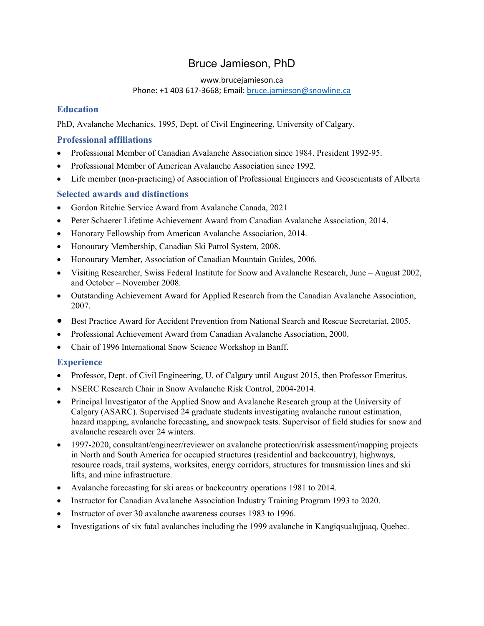# Bruce Jamieson, PhD

#### www.brucejamieson.ca

#### Phone: +1 403 617‐3668; Email: bruce.jamieson@snowline.ca

# **Education**

PhD, Avalanche Mechanics, 1995, Dept. of Civil Engineering, University of Calgary.

## **Professional affiliations**

- Professional Member of Canadian Avalanche Association since 1984. President 1992-95.
- Professional Member of American Avalanche Association since 1992.
- Life member (non-practicing) of Association of Professional Engineers and Geoscientists of Alberta

### **Selected awards and distinctions**

- Gordon Ritchie Service Award from Avalanche Canada, 2021
- Peter Schaerer Lifetime Achievement Award from Canadian Avalanche Association, 2014.
- Honorary Fellowship from American Avalanche Association, 2014.
- Honourary Membership, Canadian Ski Patrol System, 2008.
- Honourary Member, Association of Canadian Mountain Guides, 2006.
- Visiting Researcher, Swiss Federal Institute for Snow and Avalanche Research, June August 2002, and October – November 2008.
- Outstanding Achievement Award for Applied Research from the Canadian Avalanche Association, 2007.
- **Best Practice Award for Accident Prevention from National Search and Rescue Secretariat, 2005.**
- Professional Achievement Award from Canadian Avalanche Association, 2000.
- Chair of 1996 International Snow Science Workshop in Banff.

### **Experience**

- Professor, Dept. of Civil Engineering, U. of Calgary until August 2015, then Professor Emeritus.
- NSERC Research Chair in Snow Avalanche Risk Control, 2004-2014.
- Principal Investigator of the Applied Snow and Avalanche Research group at the University of Calgary (ASARC). Supervised 24 graduate students investigating avalanche runout estimation, hazard mapping, avalanche forecasting, and snowpack tests. Supervisor of field studies for snow and avalanche research over 24 winters.
- 1997-2020, consultant/engineer/reviewer on avalanche protection/risk assessment/mapping projects in North and South America for occupied structures (residential and backcountry), highways, resource roads, trail systems, worksites, energy corridors, structures for transmission lines and ski lifts, and mine infrastructure.
- Avalanche forecasting for ski areas or backcountry operations 1981 to 2014.
- Instructor for Canadian Avalanche Association Industry Training Program 1993 to 2020.
- Instructor of over 30 avalanche awareness courses 1983 to 1996.
- Investigations of six fatal avalanches including the 1999 avalanche in Kangiqsualujjuaq, Quebec.